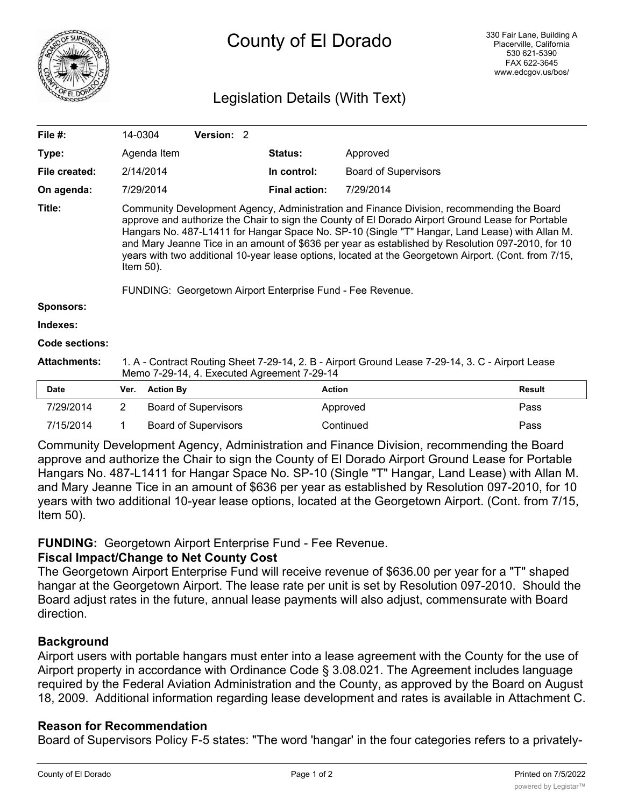

# County of El Dorado

# Legislation Details (With Text)

| File $#$ :          | 14-0304                                                                                                                                                                                                                                                                                                                                                                                                                                                                                                                                                                                      | Version: 2 |  |                      |                             |  |  |
|---------------------|----------------------------------------------------------------------------------------------------------------------------------------------------------------------------------------------------------------------------------------------------------------------------------------------------------------------------------------------------------------------------------------------------------------------------------------------------------------------------------------------------------------------------------------------------------------------------------------------|------------|--|----------------------|-----------------------------|--|--|
| Type:               | Agenda Item                                                                                                                                                                                                                                                                                                                                                                                                                                                                                                                                                                                  |            |  | <b>Status:</b>       | Approved                    |  |  |
| File created:       | 2/14/2014                                                                                                                                                                                                                                                                                                                                                                                                                                                                                                                                                                                    |            |  | In control:          | <b>Board of Supervisors</b> |  |  |
| On agenda:          | 7/29/2014                                                                                                                                                                                                                                                                                                                                                                                                                                                                                                                                                                                    |            |  | <b>Final action:</b> | 7/29/2014                   |  |  |
| Title:              | Community Development Agency, Administration and Finance Division, recommending the Board<br>approve and authorize the Chair to sign the County of El Dorado Airport Ground Lease for Portable<br>Hangars No. 487-L1411 for Hangar Space No. SP-10 (Single "T" Hangar, Land Lease) with Allan M.<br>and Mary Jeanne Tice in an amount of \$636 per year as established by Resolution 097-2010, for 10<br>years with two additional 10-year lease options, located at the Georgetown Airport. (Cont. from 7/15,<br>Item $50$ ).<br>FUNDING: Georgetown Airport Enterprise Fund - Fee Revenue. |            |  |                      |                             |  |  |
| <b>Sponsors:</b>    |                                                                                                                                                                                                                                                                                                                                                                                                                                                                                                                                                                                              |            |  |                      |                             |  |  |
| Indexes:            |                                                                                                                                                                                                                                                                                                                                                                                                                                                                                                                                                                                              |            |  |                      |                             |  |  |
| Code sections:      |                                                                                                                                                                                                                                                                                                                                                                                                                                                                                                                                                                                              |            |  |                      |                             |  |  |
| <b>Attachments:</b> | 1. A - Contract Routing Sheet 7-29-14, 2. B - Airport Ground Lease 7-29-14, 3. C - Airport Lease<br>Memo 7-29-14, 4. Executed Agreement 7-29-14                                                                                                                                                                                                                                                                                                                                                                                                                                              |            |  |                      |                             |  |  |

| <b>Date</b> | Ver. Action By              | Action    | Result |
|-------------|-----------------------------|-----------|--------|
| 7/29/2014   | <b>Board of Supervisors</b> | Approved  | Pass   |
| 7/15/2014   | Board of Supervisors        | Continued | Pass   |

Community Development Agency, Administration and Finance Division, recommending the Board approve and authorize the Chair to sign the County of El Dorado Airport Ground Lease for Portable Hangars No. 487-L1411 for Hangar Space No. SP-10 (Single "T" Hangar, Land Lease) with Allan M. and Mary Jeanne Tice in an amount of \$636 per year as established by Resolution 097-2010, for 10 years with two additional 10-year lease options, located at the Georgetown Airport. (Cont. from 7/15, Item 50).

# **FUNDING:** Georgetown Airport Enterprise Fund - Fee Revenue.

#### **Fiscal Impact/Change to Net County Cost**

The Georgetown Airport Enterprise Fund will receive revenue of \$636.00 per year for a "T" shaped hangar at the Georgetown Airport. The lease rate per unit is set by Resolution 097-2010. Should the Board adjust rates in the future, annual lease payments will also adjust, commensurate with Board direction.

# **Background**

Airport users with portable hangars must enter into a lease agreement with the County for the use of Airport property in accordance with Ordinance Code § 3.08.021. The Agreement includes language required by the Federal Aviation Administration and the County, as approved by the Board on August 18, 2009. Additional information regarding lease development and rates is available in Attachment C.

#### **Reason for Recommendation**

Board of Supervisors Policy F-5 states: "The word 'hangar' in the four categories refers to a privately-